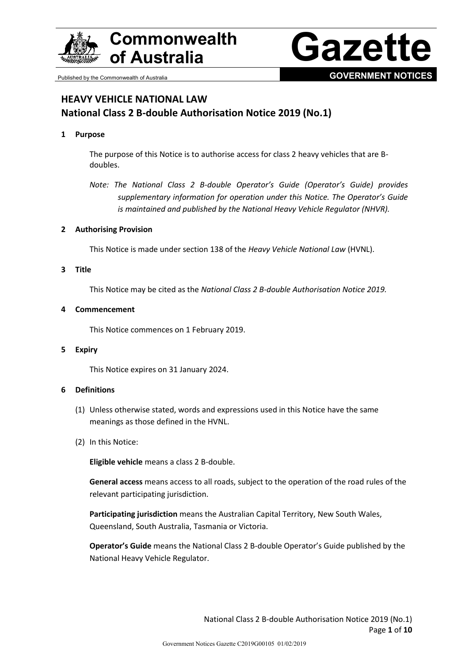

# **Commonwealth**



# **HEAVY VEHICLE NATIONAL LAW National Class 2 B-double Authorisation Notice 2019 (No.1)**

#### **1 Purpose**

The purpose of this Notice is to authorise access for class 2 heavy vehicles that are Bdoubles.

*Note: The National Class 2 B-double Operator's Guide (Operator's Guide) provides supplementary information for operation under this Notice. The Operator's Guide is maintained and published by the National Heavy Vehicle Regulator (NHVR).*

#### **2 Authorising Provision**

This Notice is made under section 138 of the *Heavy Vehicle National Law* (HVNL).

#### **3 Title**

This Notice may be cited as the *National Class 2 B-double Authorisation Notice 2019.*

#### **4 Commencement**

This Notice commences on 1 February 2019.

#### **5 Expiry**

This Notice expires on 31 January 2024.

#### **6 Definitions**

- (1) Unless otherwise stated, words and expressions used in this Notice have the same meanings as those defined in the HVNL.
- (2) In this Notice:

**Eligible vehicle** means a class 2 B-double.

**General access** means access to all roads, subject to the operation of the road rules of the relevant participating jurisdiction.

**Participating jurisdiction** means the Australian Capital Territory, New South Wales, Queensland, South Australia, Tasmania or Victoria.

**Operator's Guide** means the National Class 2 B-double Operator's Guide published by the National Heavy Vehicle Regulator.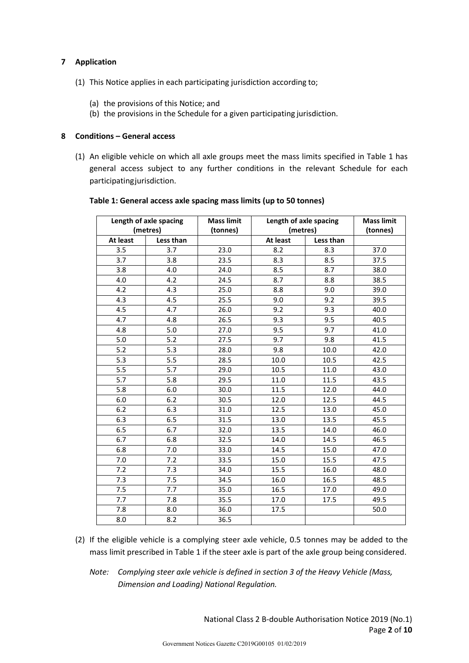## **7 Application**

- (1) This Notice applies in each participating jurisdiction according to;
	- (a) the provisions of this Notice; and
	- (b) the provisions in the Schedule for a given participating jurisdiction.

#### **8 Conditions – General access**

(1) An eligible vehicle on which all axle groups meet the mass limits specified in Table 1 has general access subject to any further conditions in the relevant Schedule for each participatingjurisdiction.

| Length of axle spacing<br>(metres) |           | <b>Mass limit</b><br>(tonnes) | Length of axle spacing<br>(metres) |           | <b>Mass limit</b><br>(tonnes) |
|------------------------------------|-----------|-------------------------------|------------------------------------|-----------|-------------------------------|
| At least                           | Less than |                               | At least                           | Less than |                               |
| 3.5                                | 3.7       | 23.0                          | 8.2                                | 8.3       | 37.0                          |
| 3.7                                | 3.8       | 23.5                          | 8.3                                | 8.5       | 37.5                          |
| 3.8                                | 4.0       | 24.0                          | 8.5                                | 8.7       | 38.0                          |
| 4.0                                | 4.2       | 24.5                          | 8.7                                | 8.8       | 38.5                          |
| 4.2                                | 4.3       | 25.0                          | 8.8                                | 9.0       | 39.0                          |
| 4.3                                | 4.5       | 25.5                          | 9.0                                | 9.2       | 39.5                          |
| 4.5                                | 4.7       | 26.0                          | 9.2                                | 9.3       | 40.0                          |
| 4.7                                | 4.8       | 26.5                          | 9.3                                | 9.5       | 40.5                          |
| 4.8                                | 5.0       | 27.0                          | 9.5                                | 9.7       | 41.0                          |
| 5.0                                | 5.2       | 27.5                          | 9.7                                | 9.8       | 41.5                          |
| 5.2                                | 5.3       | 28.0                          | 9.8                                | 10.0      | 42.0                          |
| 5.3                                | 5.5       | 28.5                          | 10.0                               | 10.5      | 42.5                          |
| 5.5                                | 5.7       | 29.0                          | 10.5                               | 11.0      | 43.0                          |
| 5.7                                | 5.8       | 29.5                          | 11.0                               | 11.5      | 43.5                          |
| 5.8                                | 6.0       | 30.0                          | 11.5                               | 12.0      | 44.0                          |
| 6.0                                | 6.2       | 30.5                          | 12.0                               | 12.5      | 44.5                          |
| 6.2                                | 6.3       | 31.0                          | 12.5                               | 13.0      | 45.0                          |
| 6.3                                | 6.5       | 31.5                          | 13.0                               | 13.5      | 45.5                          |
| 6.5                                | 6.7       | 32.0                          | 13.5                               | 14.0      | 46.0                          |
| 6.7                                | 6.8       | 32.5                          | 14.0                               | 14.5      | 46.5                          |
| 6.8                                | 7.0       | 33.0                          | 14.5                               | 15.0      | 47.0                          |
| 7.0                                | 7.2       | 33.5                          | 15.0                               | 15.5      | 47.5                          |
| 7.2                                | 7.3       | 34.0                          | 15.5                               | 16.0      | 48.0                          |
| 7.3                                | 7.5       | 34.5                          | 16.0                               | 16.5      | 48.5                          |
| 7.5                                | 7.7       | 35.0                          | 16.5                               | 17.0      | 49.0                          |
| 7.7                                | 7.8       | 35.5                          | 17.0                               | 17.5      | 49.5                          |
| 7.8                                | 8.0       | 36.0                          | 17.5                               |           | 50.0                          |
| 8.0                                | 8.2       | 36.5                          |                                    |           |                               |

#### **Table 1: General access axle spacing mass limits (up to 50 tonnes)**

- (2) If the eligible vehicle is a complying steer axle vehicle, 0.5 tonnes may be added to the mass limit prescribed in Table 1 if the steer axle is part of the axle group being considered.
	- *Note: Complying steer axle vehicle is defined in section 3 of the Heavy Vehicle (Mass, Dimension and Loading) National Regulation.*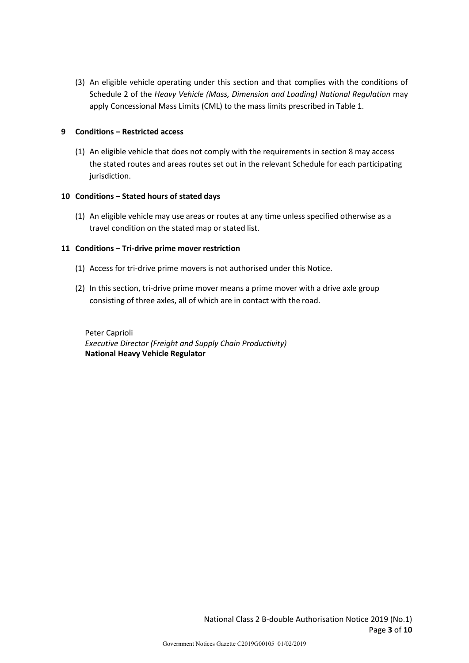(3) An eligible vehicle operating under this section and that complies with the conditions of Schedule 2 of the *Heavy Vehicle (Mass, Dimension and Loading) National Regulation* may apply Concessional Mass Limits (CML) to the mass limits prescribed in Table 1.

## **9 Conditions – Restricted access**

(1) An eligible vehicle that does not comply with the requirements in section 8 may access the stated routes and areas routes set out in the relevant Schedule for each participating jurisdiction.

#### **10 Conditions – Stated hours of stated days**

(1) An eligible vehicle may use areas or routes at any time unless specified otherwise as a travel condition on the stated map or stated list.

## **11 Conditions – Tri-drive prime mover restriction**

- (1) Access for tri-drive prime movers is not authorised under this Notice.
- (2) In this section, tri-drive prime mover means a prime mover with a drive axle group consisting of three axles, all of which are in contact with the road.

Peter Caprioli *Executive Director (Freight and Supply Chain Productivity)* **National Heavy Vehicle Regulator**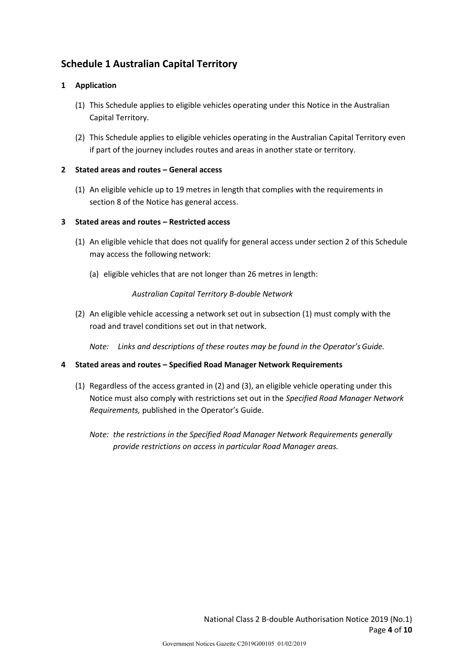# **Schedule 1 Australian Capital Territory**

## **1 Application**

- (1) This Schedule applies to eligible vehicles operating under this Notice in the Australian Capital Territory.
- (2) This Schedule applies to eligible vehicles operating in the Australian Capital Territory even if part of the journey includes routes and areas in another state or territory.

## **2 Stated areas and routes – General access**

(1) An eligible vehicle up to 19 metres in length that complies with the requirements in section 8 of the Notice has general access.

## **3 Stated areas and routes – Restricted access**

- (1) An eligible vehicle that does not qualify for general access under section 2 of this Schedule may access the following network:
	- (a) eligible vehicles that are not longer than 26 metres in length:

## *Australian Capital Territory B-double Network*

(2) An eligible vehicle accessing a network set out in subsection (1) must comply with the road and travel conditions set out in that network.

*Note: Links and descriptions of these routes may be found in the Operator'sGuide.*

- (1) Regardless of the access granted in (2) and (3), an eligible vehicle operating under this Notice must also comply with restrictions set out in the *Specified Road Manager Network Requirements,* published in the Operator's Guide.
	- *Note: the restrictions in the Specified Road Manager Network Requirements generally provide restrictions on access in particular Road Manager areas.*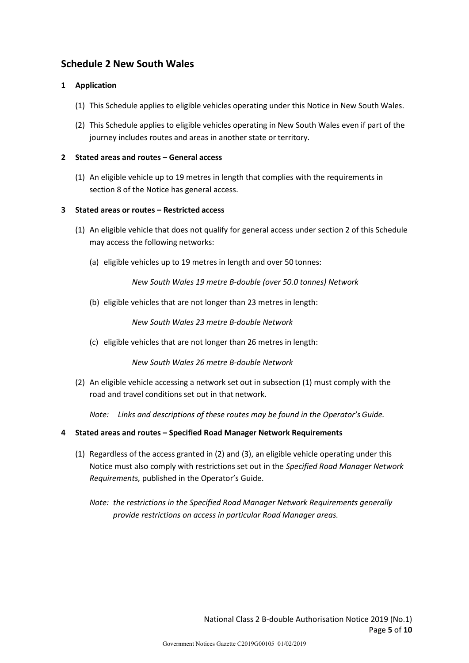## **Schedule 2 New South Wales**

## **1 Application**

- (1) This Schedule applies to eligible vehicles operating under this Notice in New South Wales.
- (2) This Schedule applies to eligible vehicles operating in New South Wales even if part of the journey includes routes and areas in another state or territory.

## **2 Stated areas and routes – General access**

(1) An eligible vehicle up to 19 metres in length that complies with the requirements in section 8 of the Notice has general access.

## **3 Stated areas or routes – Restricted access**

- (1) An eligible vehicle that does not qualify for general access under section 2 of this Schedule may access the following networks:
	- (a) eligible vehicles up to 19 metres in length and over 50 tonnes:

*New South Wales 19 metre B-double (over 50.0 tonnes) Network*

(b) eligible vehicles that are not longer than 23 metres in length:

*New South Wales 23 metre B-double Network*

(c) eligible vehicles that are not longer than 26 metres in length:

*New South Wales 26 metre B-double Network*

(2) An eligible vehicle accessing a network set out in subsection (1) must comply with the road and travel conditions set out in that network.

*Note: Links and descriptions of these routes may be found in the Operator's Guide.*

- **4 Stated areas and routes – Specified Road Manager Network Requirements**
	- (1) Regardless of the access granted in (2) and (3), an eligible vehicle operating under this Notice must also comply with restrictions set out in the *Specified Road Manager Network Requirements,* published in the Operator's Guide.
		- *Note: the restrictions in the Specified Road Manager Network Requirements generally provide restrictions on access in particular Road Manager areas.*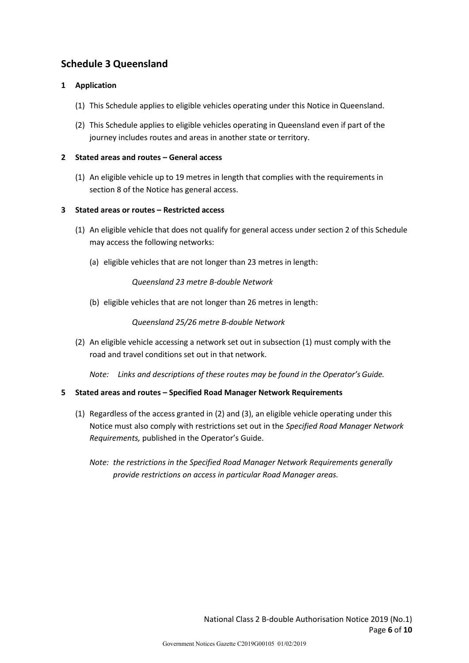# **Schedule 3 Queensland**

## **1 Application**

- (1) This Schedule applies to eligible vehicles operating under this Notice in Queensland.
- (2) This Schedule applies to eligible vehicles operating in Queensland even if part of the journey includes routes and areas in another state or territory.

## **2 Stated areas and routes – General access**

(1) An eligible vehicle up to 19 metres in length that complies with the requirements in section 8 of the Notice has general access.

## **3 Stated areas or routes – Restricted access**

- (1) An eligible vehicle that does not qualify for general access under section 2 of this Schedule may access the following networks:
	- (a) eligible vehicles that are not longer than 23 metres in length:

*Queensland 23 metre B-double Network*

(b) eligible vehicles that are not longer than 26 metres in length:

## *Queensland 25/26 metre B-double Network*

(2) An eligible vehicle accessing a network set out in subsection (1) must comply with the road and travel conditions set out in that network.

*Note: Links and descriptions of these routes may be found in the Operator's Guide.*

- (1) Regardless of the access granted in (2) and (3), an eligible vehicle operating under this Notice must also comply with restrictions set out in the *Specified Road Manager Network Requirements,* published in the Operator's Guide.
	- *Note: the restrictions in the Specified Road Manager Network Requirements generally provide restrictions on access in particular Road Manager areas.*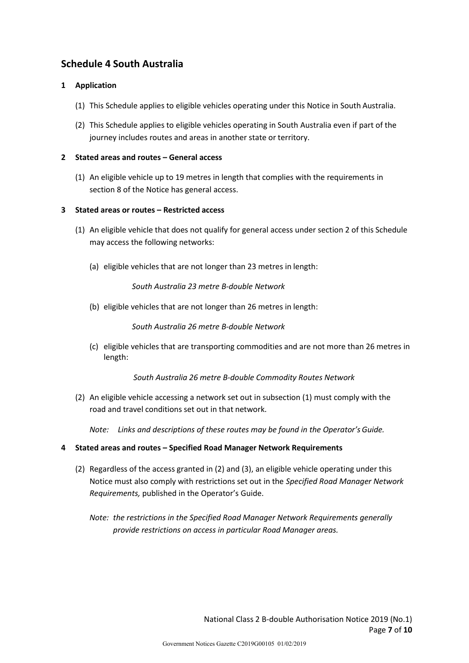# **Schedule 4 South Australia**

## **1 Application**

- (1) This Schedule applies to eligible vehicles operating under this Notice in South Australia.
- (2) This Schedule applies to eligible vehicles operating in South Australia even if part of the journey includes routes and areas in another state or territory.

## **2 Stated areas and routes – General access**

(1) An eligible vehicle up to 19 metres in length that complies with the requirements in section 8 of the Notice has general access.

## **3 Stated areas or routes – Restricted access**

- (1) An eligible vehicle that does not qualify for general access under section 2 of this Schedule may access the following networks:
	- (a) eligible vehicles that are not longer than 23 metres in length:

*South Australia 23 metre B-double Network*

(b) eligible vehicles that are not longer than 26 metres in length:

*South Australia 26 metre B-double Network*

(c) eligible vehicles that are transporting commodities and are not more than 26 metres in length:

*South Australia 26 metre B-double Commodity Routes Network*

(2) An eligible vehicle accessing a network set out in subsection (1) must comply with the road and travel conditions set out in that network.

*Note: Links and descriptions of these routes may be found in the Operator'sGuide.*

- **4 Stated areas and routes – Specified Road Manager Network Requirements**
	- (2) Regardless of the access granted in (2) and (3), an eligible vehicle operating under this Notice must also comply with restrictions set out in the *Specified Road Manager Network Requirements,* published in the Operator's Guide.

*Note: the restrictions in the Specified Road Manager Network Requirements generally provide restrictions on access in particular Road Manager areas.*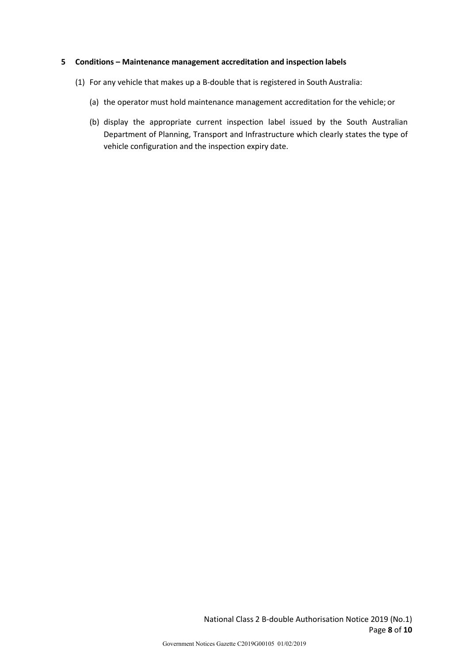#### **5 Conditions – Maintenance management accreditation and inspection labels**

- (1) For any vehicle that makes up a B-double that is registered in South Australia:
	- (a) the operator must hold maintenance management accreditation for the vehicle; or
	- (b) display the appropriate current inspection label issued by the South Australian Department of Planning, Transport and Infrastructure which clearly states the type of vehicle configuration and the inspection expiry date.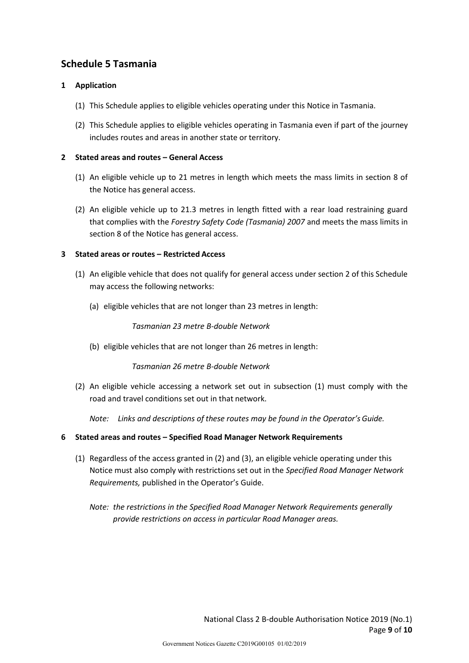# **Schedule 5 Tasmania**

## **1 Application**

- (1) This Schedule applies to eligible vehicles operating under this Notice in Tasmania.
- (2) This Schedule applies to eligible vehicles operating in Tasmania even if part of the journey includes routes and areas in another state or territory.

## **2 Stated areas and routes – General Access**

- (1) An eligible vehicle up to 21 metres in length which meets the mass limits in section 8 of the Notice has general access.
- (2) An eligible vehicle up to 21.3 metres in length fitted with a rear load restraining guard that complies with the *Forestry Safety Code (Tasmania) 2007* and meets the mass limits in section 8 of the Notice has general access.

## **3 Stated areas or routes – Restricted Access**

- (1) An eligible vehicle that does not qualify for general access under section 2 of this Schedule may access the following networks:
	- (a) eligible vehicles that are not longer than 23 metres in length:

*Tasmanian 23 metre B-double Network*

(b) eligible vehicles that are not longer than 26 metres in length:

#### *Tasmanian 26 metre B-double Network*

(2) An eligible vehicle accessing a network set out in subsection (1) must comply with the road and travel conditions set out in that network.

*Note: Links and descriptions of these routes may be found in the Operator'sGuide.*

- (1) Regardless of the access granted in (2) and (3), an eligible vehicle operating under this Notice must also comply with restrictions set out in the *Specified Road Manager Network Requirements,* published in the Operator's Guide.
	- *Note: the restrictions in the Specified Road Manager Network Requirements generally provide restrictions on access in particular Road Manager areas.*